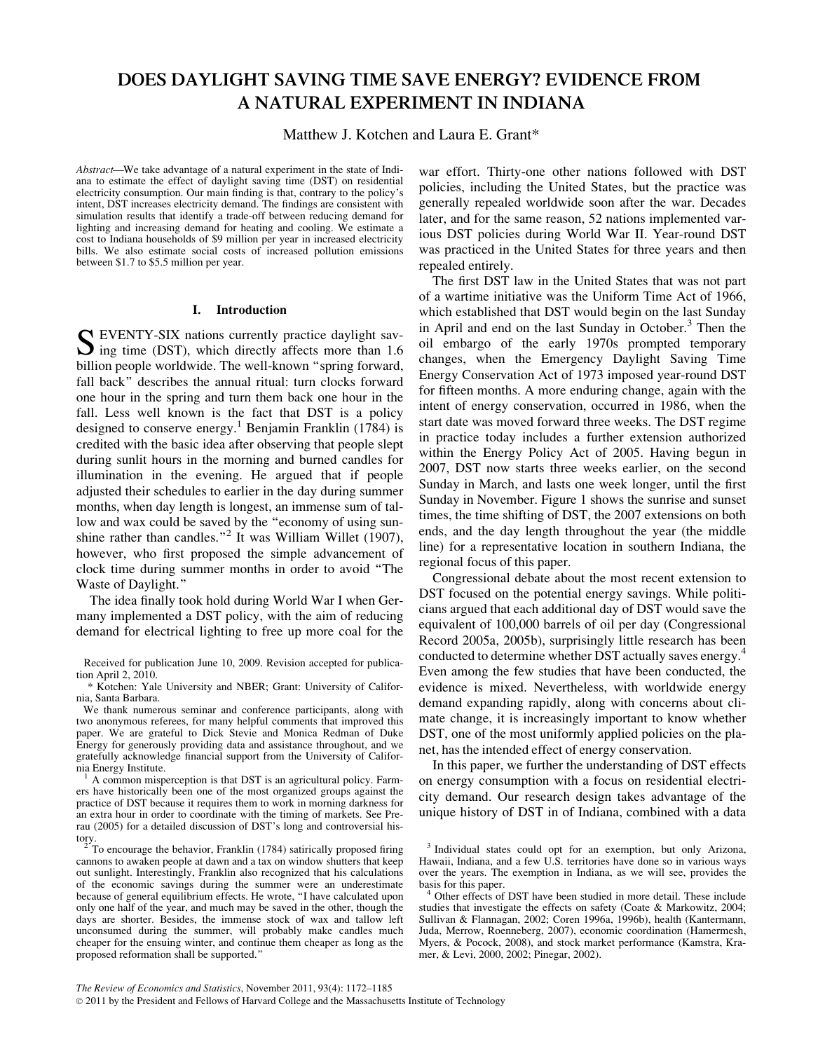# DOES DAYLIGHT SAVING TIME SAVE ENERGY? EVIDENCE FROM A NATURAL EXPERIMENT IN INDIANA

Matthew J. Kotchen and Laura E. Grant\*

Abstract—We take advantage of a natural experiment in the state of Indiana to estimate the effect of daylight saving time (DST) on residential electricity consumption. Our main finding is that, contrary to the policy's intent, DST increases electricity demand. The findings are consistent with simulation results that identify a trade-off between reducing demand for lighting and increasing demand for heating and cooling. We estimate a cost to Indiana households of \$9 million per year in increased electricity bills. We also estimate social costs of increased pollution emissions between \$1.7 to \$5.5 million per year.

### I. Introduction

S EVENTY-SIX nations currently practice daylight sav-<br>ing time (DST), which directly affects more than 1.6 billion people worldwide. The well-known ''spring forward, fall back'' describes the annual ritual: turn clocks forward one hour in the spring and turn them back one hour in the fall. Less well known is the fact that DST is a policy designed to conserve energy.<sup>1</sup> Benjamin Franklin (1784) is credited with the basic idea after observing that people slept during sunlit hours in the morning and burned candles for illumination in the evening. He argued that if people adjusted their schedules to earlier in the day during summer months, when day length is longest, an immense sum of tallow and wax could be saved by the "economy of using sunshine rather than candles."<sup>2</sup> It was William Willet (1907), however, who first proposed the simple advancement of clock time during summer months in order to avoid ''The Waste of Daylight.''

The idea finally took hold during World War I when Germany implemented a DST policy, with the aim of reducing demand for electrical lighting to free up more coal for the

nia Energy Institute.<br> $\frac{1}{1}$  A common misperception is that DST is an agricultural policy. Farmers have historically been one of the most organized groups against the practice of DST because it requires them to work in morning darkness for an extra hour in order to coordinate with the timing of markets. See Prerau (2005) for a detailed discussion of DST's long and controversial history.<br><sup>2</sup> To encourage the behavior, Franklin (1784) satirically proposed firing war effort. Thirty-one other nations followed with DST policies, including the United States, but the practice was generally repealed worldwide soon after the war. Decades later, and for the same reason, 52 nations implemented various DST policies during World War II. Year-round DST was practiced in the United States for three years and then repealed entirely.

The first DST law in the United States that was not part of a wartime initiative was the Uniform Time Act of 1966, which established that DST would begin on the last Sunday in April and end on the last Sunday in October. $3$  Then the oil embargo of the early 1970s prompted temporary changes, when the Emergency Daylight Saving Time Energy Conservation Act of 1973 imposed year-round DST for fifteen months. A more enduring change, again with the intent of energy conservation, occurred in 1986, when the start date was moved forward three weeks. The DST regime in practice today includes a further extension authorized within the Energy Policy Act of 2005. Having begun in 2007, DST now starts three weeks earlier, on the second Sunday in March, and lasts one week longer, until the first Sunday in November. Figure 1 shows the sunrise and sunset times, the time shifting of DST, the 2007 extensions on both ends, and the day length throughout the year (the middle line) for a representative location in southern Indiana, the regional focus of this paper.

Congressional debate about the most recent extension to DST focused on the potential energy savings. While politicians argued that each additional day of DST would save the equivalent of 100,000 barrels of oil per day (Congressional Record 2005a, 2005b), surprisingly little research has been conducted to determine whether DST actually saves energy.<sup>4</sup> Even among the few studies that have been conducted, the evidence is mixed. Nevertheless, with worldwide energy demand expanding rapidly, along with concerns about climate change, it is increasingly important to know whether DST, one of the most uniformly applied policies on the planet, has the intended effect of energy conservation.

In this paper, we further the understanding of DST effects on energy consumption with a focus on residential electricity demand. Our research design takes advantage of the unique history of DST in of Indiana, combined with a data

Received for publication June 10, 2009. Revision accepted for publication April 2, 2010.

<sup>\*</sup> Kotchen: Yale University and NBER; Grant: University of California, Santa Barbara.

We thank numerous seminar and conference participants, along with two anonymous referees, for many helpful comments that improved this paper. We are grateful to Dick Stevie and Monica Redman of Duke Energy for generously providing data and assistance throughout, and we gratefully acknowledge financial support from the University of Califor-

cannons to awaken people at dawn and a tax on window shutters that keep out sunlight. Interestingly, Franklin also recognized that his calculations of the economic savings during the summer were an underestimate because of general equilibrium effects. He wrote, ''I have calculated upon only one half of the year, and much may be saved in the other, though the days are shorter. Besides, the immense stock of wax and tallow left unconsumed during the summer, will probably make candles much cheaper for the ensuing winter, and continue them cheaper as long as the proposed reformation shall be supported.''

<sup>&</sup>lt;sup>3</sup> Individual states could opt for an exemption, but only Arizona, Hawaii, Indiana, and a few U.S. territories have done so in various ways over the years. The exemption in Indiana, as we will see, provides the basis for this paper.

Other effects of DST have been studied in more detail. These include studies that investigate the effects on safety (Coate & Markowitz, 2004; Sullivan & Flannagan, 2002; Coren 1996a, 1996b), health (Kantermann, Juda, Merrow, Roenneberg, 2007), economic coordination (Hamermesh, Myers, & Pocock, 2008), and stock market performance (Kamstra, Kramer, & Levi, 2000, 2002; Pinegar, 2002).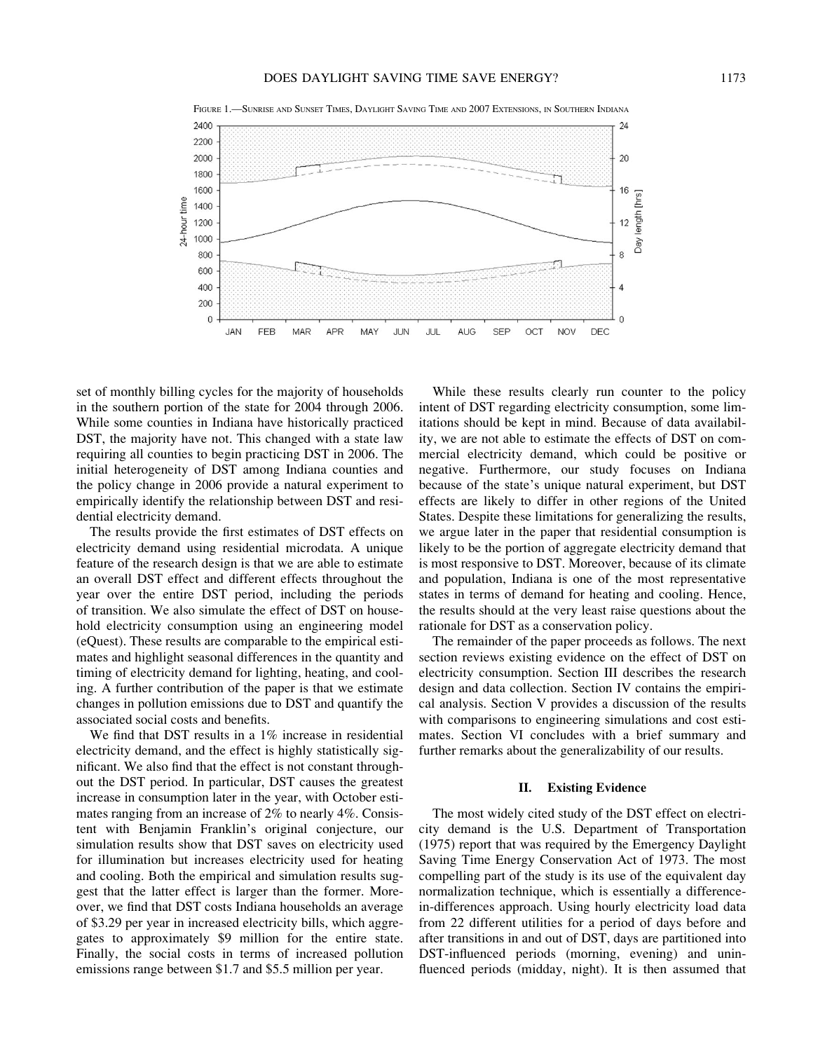

FIGURE 1.—SUNRISE AND SUNSET TIMES, DAYLIGHT SAVING TIME AND 2007 EXTENSIONS, IN SOUTHERN INDIANA

set of monthly billing cycles for the majority of households in the southern portion of the state for 2004 through 2006. While some counties in Indiana have historically practiced DST, the majority have not. This changed with a state law requiring all counties to begin practicing DST in 2006. The initial heterogeneity of DST among Indiana counties and the policy change in 2006 provide a natural experiment to empirically identify the relationship between DST and residential electricity demand.

The results provide the first estimates of DST effects on electricity demand using residential microdata. A unique feature of the research design is that we are able to estimate an overall DST effect and different effects throughout the year over the entire DST period, including the periods of transition. We also simulate the effect of DST on household electricity consumption using an engineering model (eQuest). These results are comparable to the empirical estimates and highlight seasonal differences in the quantity and timing of electricity demand for lighting, heating, and cooling. A further contribution of the paper is that we estimate changes in pollution emissions due to DST and quantify the associated social costs and benefits.

We find that DST results in a 1% increase in residential electricity demand, and the effect is highly statistically significant. We also find that the effect is not constant throughout the DST period. In particular, DST causes the greatest increase in consumption later in the year, with October estimates ranging from an increase of 2% to nearly 4%. Consistent with Benjamin Franklin's original conjecture, our simulation results show that DST saves on electricity used for illumination but increases electricity used for heating and cooling. Both the empirical and simulation results suggest that the latter effect is larger than the former. Moreover, we find that DST costs Indiana households an average of \$3.29 per year in increased electricity bills, which aggregates to approximately \$9 million for the entire state. Finally, the social costs in terms of increased pollution emissions range between \$1.7 and \$5.5 million per year.

While these results clearly run counter to the policy intent of DST regarding electricity consumption, some limitations should be kept in mind. Because of data availability, we are not able to estimate the effects of DST on commercial electricity demand, which could be positive or negative. Furthermore, our study focuses on Indiana because of the state's unique natural experiment, but DST effects are likely to differ in other regions of the United States. Despite these limitations for generalizing the results, we argue later in the paper that residential consumption is likely to be the portion of aggregate electricity demand that is most responsive to DST. Moreover, because of its climate and population, Indiana is one of the most representative states in terms of demand for heating and cooling. Hence, the results should at the very least raise questions about the rationale for DST as a conservation policy.

The remainder of the paper proceeds as follows. The next section reviews existing evidence on the effect of DST on electricity consumption. Section III describes the research design and data collection. Section IV contains the empirical analysis. Section V provides a discussion of the results with comparisons to engineering simulations and cost estimates. Section VI concludes with a brief summary and further remarks about the generalizability of our results.

# II. Existing Evidence

The most widely cited study of the DST effect on electricity demand is the U.S. Department of Transportation (1975) report that was required by the Emergency Daylight Saving Time Energy Conservation Act of 1973. The most compelling part of the study is its use of the equivalent day normalization technique, which is essentially a differencein-differences approach. Using hourly electricity load data from 22 different utilities for a period of days before and after transitions in and out of DST, days are partitioned into DST-influenced periods (morning, evening) and uninfluenced periods (midday, night). It is then assumed that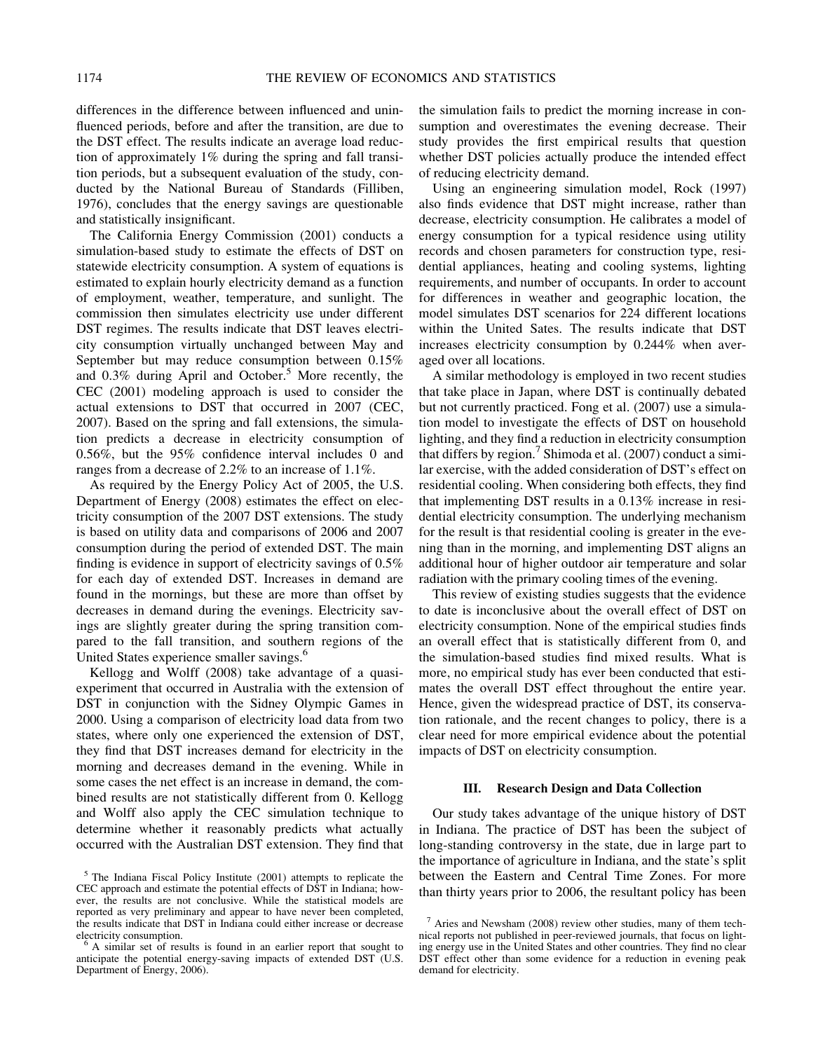differences in the difference between influenced and uninfluenced periods, before and after the transition, are due to the DST effect. The results indicate an average load reduction of approximately 1% during the spring and fall transition periods, but a subsequent evaluation of the study, conducted by the National Bureau of Standards (Filliben, 1976), concludes that the energy savings are questionable and statistically insignificant.

The California Energy Commission (2001) conducts a simulation-based study to estimate the effects of DST on statewide electricity consumption. A system of equations is estimated to explain hourly electricity demand as a function of employment, weather, temperature, and sunlight. The commission then simulates electricity use under different DST regimes. The results indicate that DST leaves electricity consumption virtually unchanged between May and September but may reduce consumption between 0.15% and  $0.3\%$  during April and October.<sup>5</sup> More recently, the CEC (2001) modeling approach is used to consider the actual extensions to DST that occurred in 2007 (CEC, 2007). Based on the spring and fall extensions, the simulation predicts a decrease in electricity consumption of 0.56%, but the 95% confidence interval includes 0 and ranges from a decrease of 2.2% to an increase of 1.1%.

As required by the Energy Policy Act of 2005, the U.S. Department of Energy (2008) estimates the effect on electricity consumption of the 2007 DST extensions. The study is based on utility data and comparisons of 2006 and 2007 consumption during the period of extended DST. The main finding is evidence in support of electricity savings of 0.5% for each day of extended DST. Increases in demand are found in the mornings, but these are more than offset by decreases in demand during the evenings. Electricity savings are slightly greater during the spring transition compared to the fall transition, and southern regions of the United States experience smaller savings.<sup>6</sup>

Kellogg and Wolff (2008) take advantage of a quasiexperiment that occurred in Australia with the extension of DST in conjunction with the Sidney Olympic Games in 2000. Using a comparison of electricity load data from two states, where only one experienced the extension of DST, they find that DST increases demand for electricity in the morning and decreases demand in the evening. While in some cases the net effect is an increase in demand, the combined results are not statistically different from 0. Kellogg and Wolff also apply the CEC simulation technique to determine whether it reasonably predicts what actually occurred with the Australian DST extension. They find that the simulation fails to predict the morning increase in consumption and overestimates the evening decrease. Their study provides the first empirical results that question whether DST policies actually produce the intended effect of reducing electricity demand.

Using an engineering simulation model, Rock (1997) also finds evidence that DST might increase, rather than decrease, electricity consumption. He calibrates a model of energy consumption for a typical residence using utility records and chosen parameters for construction type, residential appliances, heating and cooling systems, lighting requirements, and number of occupants. In order to account for differences in weather and geographic location, the model simulates DST scenarios for 224 different locations within the United Sates. The results indicate that DST increases electricity consumption by 0.244% when averaged over all locations.

A similar methodology is employed in two recent studies that take place in Japan, where DST is continually debated but not currently practiced. Fong et al. (2007) use a simulation model to investigate the effects of DST on household lighting, and they find a reduction in electricity consumption that differs by region.<sup>7</sup> Shimoda et al.  $(2007)$  conduct a similar exercise, with the added consideration of DST's effect on residential cooling. When considering both effects, they find that implementing DST results in a 0.13% increase in residential electricity consumption. The underlying mechanism for the result is that residential cooling is greater in the evening than in the morning, and implementing DST aligns an additional hour of higher outdoor air temperature and solar radiation with the primary cooling times of the evening.

This review of existing studies suggests that the evidence to date is inconclusive about the overall effect of DST on electricity consumption. None of the empirical studies finds an overall effect that is statistically different from 0, and the simulation-based studies find mixed results. What is more, no empirical study has ever been conducted that estimates the overall DST effect throughout the entire year. Hence, given the widespread practice of DST, its conservation rationale, and the recent changes to policy, there is a clear need for more empirical evidence about the potential impacts of DST on electricity consumption.

# III. Research Design and Data Collection

Our study takes advantage of the unique history of DST in Indiana. The practice of DST has been the subject of long-standing controversy in the state, due in large part to the importance of agriculture in Indiana, and the state's split between the Eastern and Central Time Zones. For more than thirty years prior to 2006, the resultant policy has been

<sup>5</sup> The Indiana Fiscal Policy Institute (2001) attempts to replicate the CEC approach and estimate the potential effects of DST in Indiana; however, the results are not conclusive. While the statistical models are reported as very preliminary and appear to have never been completed, the results indicate that DST in Indiana could either increase or decrease electricity consumption.

A similar set of results is found in an earlier report that sought to anticipate the potential energy-saving impacts of extended DST (U.S. Department of Energy, 2006).

 $<sup>7</sup>$  Aries and Newsham (2008) review other studies, many of them tech-</sup> nical reports not published in peer-reviewed journals, that focus on lighting energy use in the United States and other countries. They find no clear DST effect other than some evidence for a reduction in evening peak demand for electricity.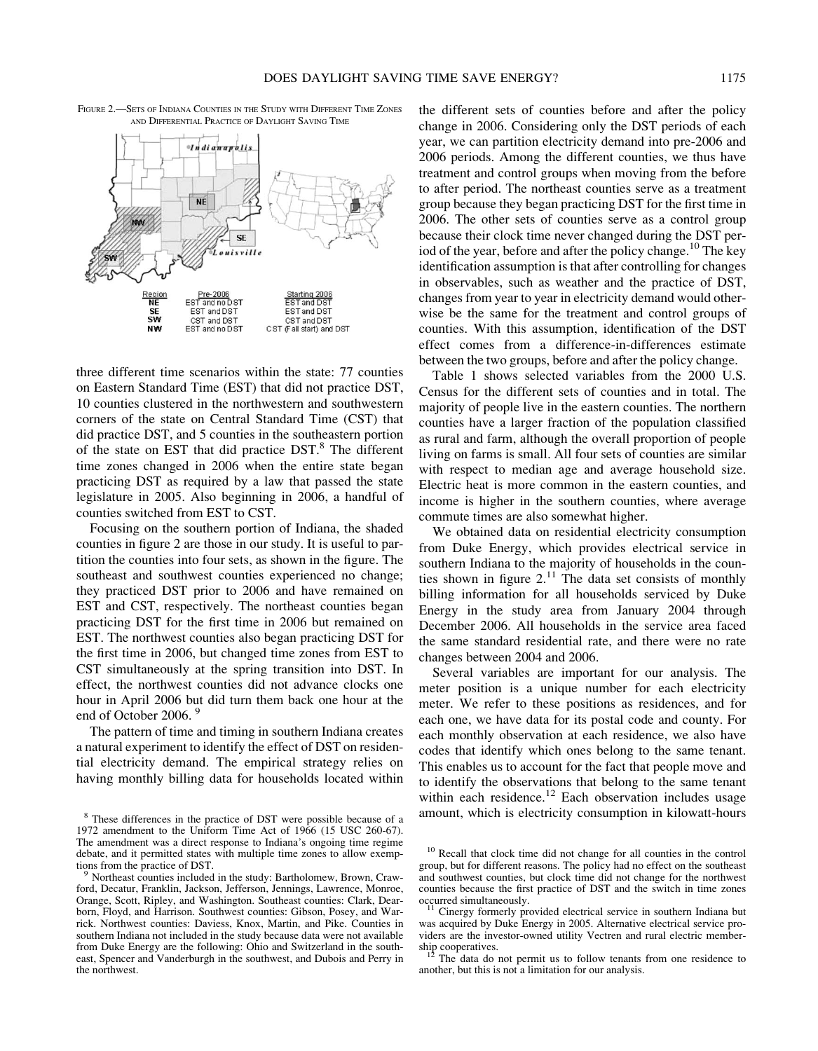FIGURE 2.—SETS OF INDIANA COUNTIES IN THE STUDY WITH DIFFERENT TIME ZONES AND DIFFERENTIAL PRACTICE OF DAYLIGHT SAVING TIME



three different time scenarios within the state: 77 counties on Eastern Standard Time (EST) that did not practice DST, 10 counties clustered in the northwestern and southwestern corners of the state on Central Standard Time (CST) that did practice DST, and 5 counties in the southeastern portion of the state on EST that did practice DST.<sup>8</sup> The different time zones changed in 2006 when the entire state began practicing DST as required by a law that passed the state legislature in 2005. Also beginning in 2006, a handful of counties switched from EST to CST.

Focusing on the southern portion of Indiana, the shaded counties in figure 2 are those in our study. It is useful to partition the counties into four sets, as shown in the figure. The southeast and southwest counties experienced no change; they practiced DST prior to 2006 and have remained on EST and CST, respectively. The northeast counties began practicing DST for the first time in 2006 but remained on EST. The northwest counties also began practicing DST for the first time in 2006, but changed time zones from EST to CST simultaneously at the spring transition into DST. In effect, the northwest counties did not advance clocks one hour in April 2006 but did turn them back one hour at the end of October 2006.<sup>9</sup>

The pattern of time and timing in southern Indiana creates a natural experiment to identify the effect of DST on residential electricity demand. The empirical strategy relies on having monthly billing data for households located within the different sets of counties before and after the policy change in 2006. Considering only the DST periods of each year, we can partition electricity demand into pre-2006 and 2006 periods. Among the different counties, we thus have treatment and control groups when moving from the before to after period. The northeast counties serve as a treatment group because they began practicing DST for the first time in 2006. The other sets of counties serve as a control group because their clock time never changed during the DST period of the year, before and after the policy change.<sup>10</sup> The key identification assumption is that after controlling for changes in observables, such as weather and the practice of DST, changes from year to year in electricity demand would otherwise be the same for the treatment and control groups of counties. With this assumption, identification of the DST effect comes from a difference-in-differences estimate between the two groups, before and after the policy change.

Table 1 shows selected variables from the 2000 U.S. Census for the different sets of counties and in total. The majority of people live in the eastern counties. The northern counties have a larger fraction of the population classified as rural and farm, although the overall proportion of people living on farms is small. All four sets of counties are similar with respect to median age and average household size. Electric heat is more common in the eastern counties, and income is higher in the southern counties, where average commute times are also somewhat higher.

We obtained data on residential electricity consumption from Duke Energy, which provides electrical service in southern Indiana to the majority of households in the counties shown in figure  $2^{11}$ . The data set consists of monthly billing information for all households serviced by Duke Energy in the study area from January 2004 through December 2006. All households in the service area faced the same standard residential rate, and there were no rate changes between 2004 and 2006.

Several variables are important for our analysis. The meter position is a unique number for each electricity meter. We refer to these positions as residences, and for each one, we have data for its postal code and county. For each monthly observation at each residence, we also have codes that identify which ones belong to the same tenant. This enables us to account for the fact that people move and to identify the observations that belong to the same tenant within each residence.<sup>12</sup> Each observation includes usage amount, which is electricity consumption in kilowatt-hours

<sup>8</sup> These differences in the practice of DST were possible because of a 1972 amendment to the Uniform Time Act of 1966 (15 USC 260-67). The amendment was a direct response to Indiana's ongoing time regime debate, and it permitted states with multiple time zones to allow exemptions from the practice of DST.

Northeast counties included in the study: Bartholomew, Brown, Crawford, Decatur, Franklin, Jackson, Jefferson, Jennings, Lawrence, Monroe, Orange, Scott, Ripley, and Washington. Southeast counties: Clark, Dearborn, Floyd, and Harrison. Southwest counties: Gibson, Posey, and Warrick. Northwest counties: Daviess, Knox, Martin, and Pike. Counties in southern Indiana not included in the study because data were not available from Duke Energy are the following: Ohio and Switzerland in the southeast, Spencer and Vanderburgh in the southwest, and Dubois and Perry in the northwest.

<sup>&</sup>lt;sup>10</sup> Recall that clock time did not change for all counties in the control group, but for different reasons. The policy had no effect on the southeast and southwest counties, but clock time did not change for the northwest counties because the first practice of DST and the switch in time zones

Cinergy formerly provided electrical service in southern Indiana but was acquired by Duke Energy in 2005. Alternative electrical service providers are the investor-owned utility Vectren and rural electric member-<br>ship cooperatives.<br> $\frac{12}{2}$  The data do not remait we to fallow the matrix for

The data do not permit us to follow tenants from one residence to another, but this is not a limitation for our analysis.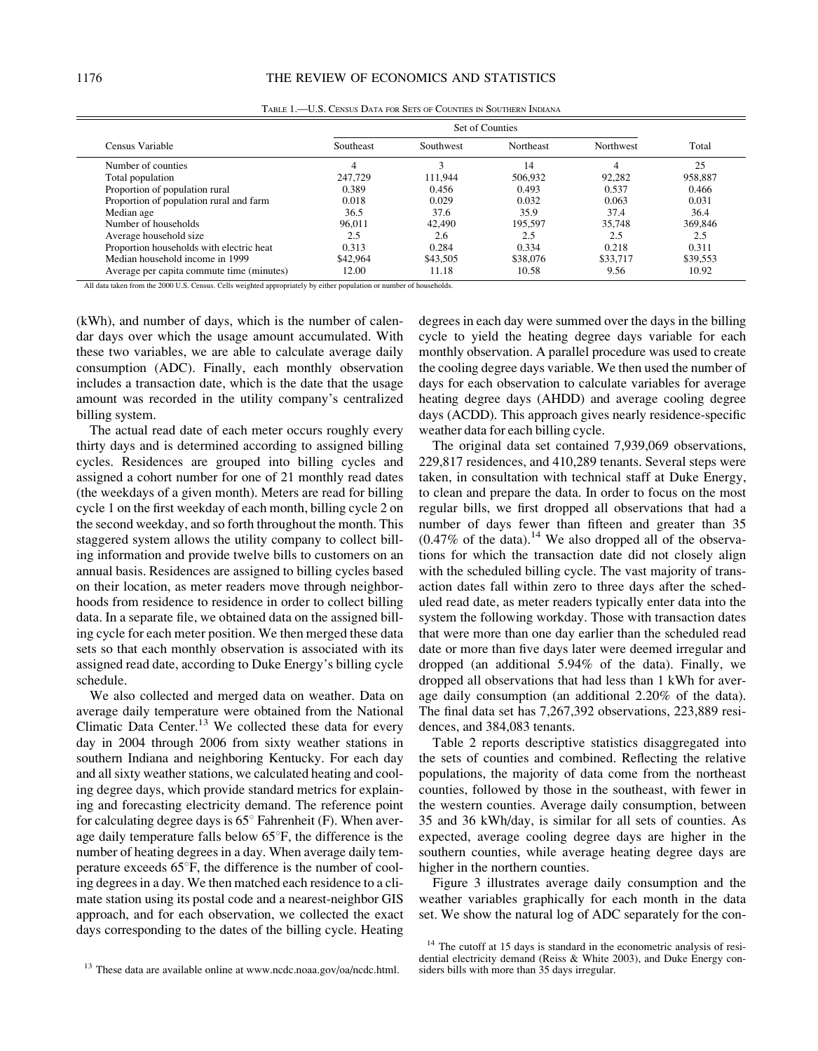|                                           | Set of Counties |           |                  |                  |          |  |
|-------------------------------------------|-----------------|-----------|------------------|------------------|----------|--|
| Census Variable                           | Southeast       | Southwest | <b>Northeast</b> | <b>Northwest</b> | Total    |  |
| Number of counties                        |                 |           | 14               |                  | 25       |  |
| Total population                          | 247,729         | 111.944   | 506.932          | 92,282           | 958,887  |  |
| Proportion of population rural            | 0.389           | 0.456     | 0.493            | 0.537            | 0.466    |  |
| Proportion of population rural and farm   | 0.018           | 0.029     | 0.032            | 0.063            | 0.031    |  |
| Median age                                | 36.5            | 37.6      | 35.9             | 37.4             | 36.4     |  |
| Number of households                      | 96.011          | 42,490    | 195,597          | 35,748           | 369,846  |  |
| Average household size                    | 2.5             | 2.6       | 2.5              | 2.5              | 2.5      |  |
| Proportion households with electric heat  | 0.313           | 0.284     | 0.334            | 0.218            | 0.311    |  |
| Median household income in 1999           | \$42,964        | \$43,505  | \$38,076         | \$33,717         | \$39,553 |  |
| Average per capita commute time (minutes) | 12.00           | 11.18     | 10.58            | 9.56             | 10.92    |  |

TABLE 1.—U.S. CENSUS DATA FOR SETS OF COUNTIES IN SOUTHERN INDIANA

All data taken from the 2000 U.S. Census. Cells weighted appropriately by either population or number of households.

(kWh), and number of days, which is the number of calendar days over which the usage amount accumulated. With these two variables, we are able to calculate average daily consumption (ADC). Finally, each monthly observation includes a transaction date, which is the date that the usage amount was recorded in the utility company's centralized billing system.

The actual read date of each meter occurs roughly every thirty days and is determined according to assigned billing cycles. Residences are grouped into billing cycles and assigned a cohort number for one of 21 monthly read dates (the weekdays of a given month). Meters are read for billing cycle 1 on the first weekday of each month, billing cycle 2 on the second weekday, and so forth throughout the month. This staggered system allows the utility company to collect billing information and provide twelve bills to customers on an annual basis. Residences are assigned to billing cycles based on their location, as meter readers move through neighborhoods from residence to residence in order to collect billing data. In a separate file, we obtained data on the assigned billing cycle for each meter position. We then merged these data sets so that each monthly observation is associated with its assigned read date, according to Duke Energy's billing cycle schedule.

We also collected and merged data on weather. Data on average daily temperature were obtained from the National Climatic Data Center.<sup>13</sup> We collected these data for every day in 2004 through 2006 from sixty weather stations in southern Indiana and neighboring Kentucky. For each day and all sixty weather stations, we calculated heating and cooling degree days, which provide standard metrics for explaining and forecasting electricity demand. The reference point for calculating degree days is  $65^\circ$  Fahrenheit (F). When average daily temperature falls below  $65^{\circ}$ F, the difference is the number of heating degrees in a day. When average daily temperature exceeds  $65^{\circ}$ F, the difference is the number of cooling degrees in a day. We then matched each residence to a climate station using its postal code and a nearest-neighbor GIS approach, and for each observation, we collected the exact days corresponding to the dates of the billing cycle. Heating

degrees in each day were summed over the days in the billing cycle to yield the heating degree days variable for each monthly observation. A parallel procedure was used to create the cooling degree days variable. We then used the number of days for each observation to calculate variables for average heating degree days (AHDD) and average cooling degree days (ACDD). This approach gives nearly residence-specific weather data for each billing cycle.

The original data set contained 7,939,069 observations, 229,817 residences, and 410,289 tenants. Several steps were taken, in consultation with technical staff at Duke Energy, to clean and prepare the data. In order to focus on the most regular bills, we first dropped all observations that had a number of days fewer than fifteen and greater than 35  $(0.47\%$  of the data).<sup>14</sup> We also dropped all of the observations for which the transaction date did not closely align with the scheduled billing cycle. The vast majority of transaction dates fall within zero to three days after the scheduled read date, as meter readers typically enter data into the system the following workday. Those with transaction dates that were more than one day earlier than the scheduled read date or more than five days later were deemed irregular and dropped (an additional 5.94% of the data). Finally, we dropped all observations that had less than 1 kWh for average daily consumption (an additional 2.20% of the data). The final data set has 7,267,392 observations, 223,889 residences, and 384,083 tenants.

Table 2 reports descriptive statistics disaggregated into the sets of counties and combined. Reflecting the relative populations, the majority of data come from the northeast counties, followed by those in the southeast, with fewer in the western counties. Average daily consumption, between 35 and 36 kWh/day, is similar for all sets of counties. As expected, average cooling degree days are higher in the southern counties, while average heating degree days are higher in the northern counties.

Figure 3 illustrates average daily consumption and the weather variables graphically for each month in the data set. We show the natural log of ADC separately for the con-

 $13$  These data are available online at www.ncdc.noaa.gov/oa/ncdc.html.

 $14$  The cutoff at 15 days is standard in the econometric analysis of residential electricity demand (Reiss & White 2003), and Duke Energy considers bills with more than 35 days irregular.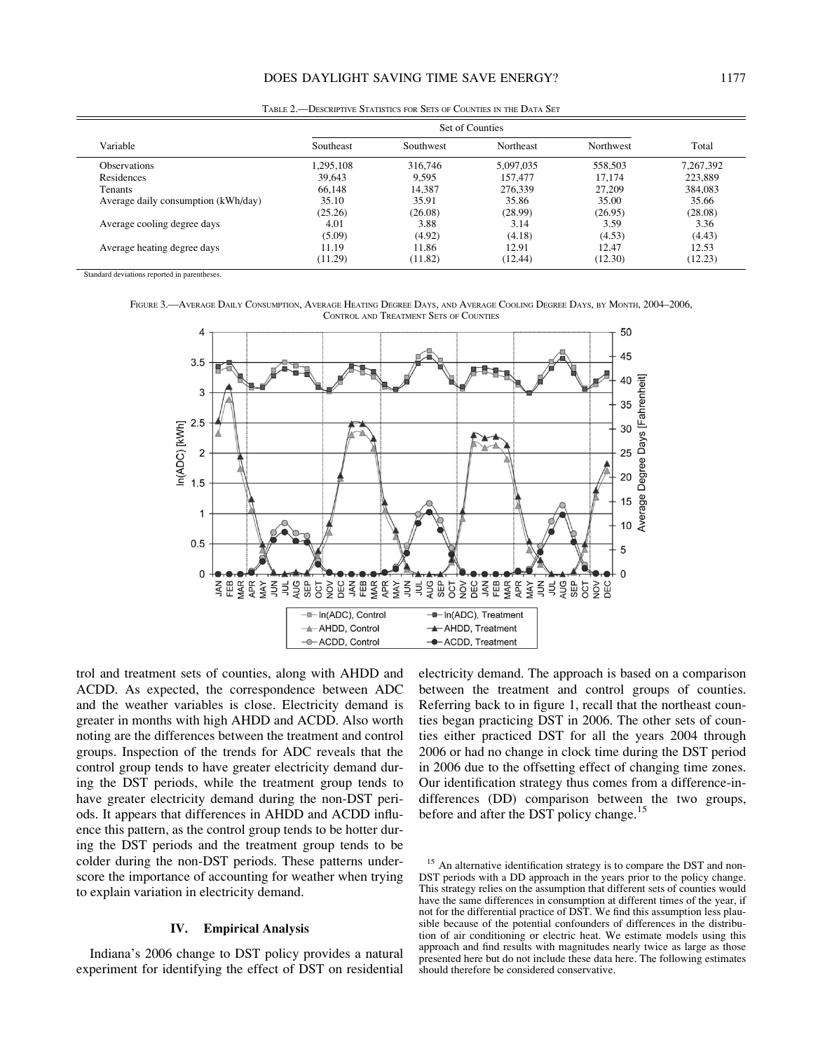|                                     |           | Set of Counties |           |                  |           |
|-------------------------------------|-----------|-----------------|-----------|------------------|-----------|
| Variable                            | Southeast | Southwest       | Northeast | <b>Northwest</b> | Total     |
| <b>Observations</b>                 | 1,295,108 | 316,746         | 5,097,035 | 558,503          | 7,267,392 |
| Residences                          | 39,643    | 9,595           | 157,477   | 17,174           | 223,889   |
| Tenants                             | 66,148    | 14,387          | 276,339   | 27,209           | 384,083   |
| Average daily consumption (kWh/day) | 35.10     | 35.91           | 35.86     | 35.00            | 35.66     |
|                                     | (25.26)   | (26.08)         | (28.99)   | (26.95)          | (28.08)   |
| Average cooling degree days         | 4.01      | 3.88            | 3.14      | 3.59             | 3.36      |
|                                     | (5.09)    | (4.92)          | (4.18)    | (4.53)           | (4.43)    |
| Average heating degree days         | 11.19     | 11.86           | 12.91     | 12.47            | 12.53     |
|                                     | (11.29)   | (11.82)         | (12.44)   | (12.30)          | (12.23)   |

TABLE 2.—DESCRIPTIVE STATISTICS FOR SETS OF COUNTIES IN THE DATA SET

Standard deviations reported in parentheses.

FIGURE 3.—AVERAGE DAILY CONSUMPTION, AVERAGE HEATING DEGREE DAYS, AND AVERAGE COOLING DEGREE DAYS, BY MONTH, 2004–2006, CONTROL AND TREATMENT SETS OF COUNTIES



trol and treatment sets of counties, along with AHDD and ACDD. As expected, the correspondence between ADC and the weather variables is close. Electricity demand is greater in months with high AHDD and ACDD. Also worth noting are the differences between the treatment and control groups. Inspection of the trends for ADC reveals that the control group tends to have greater electricity demand during the DST periods, while the treatment group tends to have greater electricity demand during the non-DST periods. It appears that differences in AHDD and ACDD influence this pattern, as the control group tends to be hotter during the DST periods and the treatment group tends to be colder during the non-DST periods. These patterns underscore the importance of accounting for weather when trying to explain variation in electricity demand.

# IV. Empirical Analysis

Indiana's 2006 change to DST policy provides a natural experiment for identifying the effect of DST on residential electricity demand. The approach is based on a comparison between the treatment and control groups of counties. Referring back to in figure 1, recall that the northeast counties began practicing DST in 2006. The other sets of counties either practiced DST for all the years 2004 through 2006 or had no change in clock time during the DST period in 2006 due to the offsetting effect of changing time zones. Our identification strategy thus comes from a difference-indifferences (DD) comparison between the two groups, before and after the DST policy change.<sup>15</sup>

<sup>&</sup>lt;sup>15</sup> An alternative identification strategy is to compare the DST and non-DST periods with a DD approach in the years prior to the policy change. This strategy relies on the assumption that different sets of counties would have the same differences in consumption at different times of the year, if not for the differential practice of DST. We find this assumption less plausible because of the potential confounders of differences in the distribution of air conditioning or electric heat. We estimate models using this approach and find results with magnitudes nearly twice as large as those presented here but do not include these data here. The following estimates should therefore be considered conservative.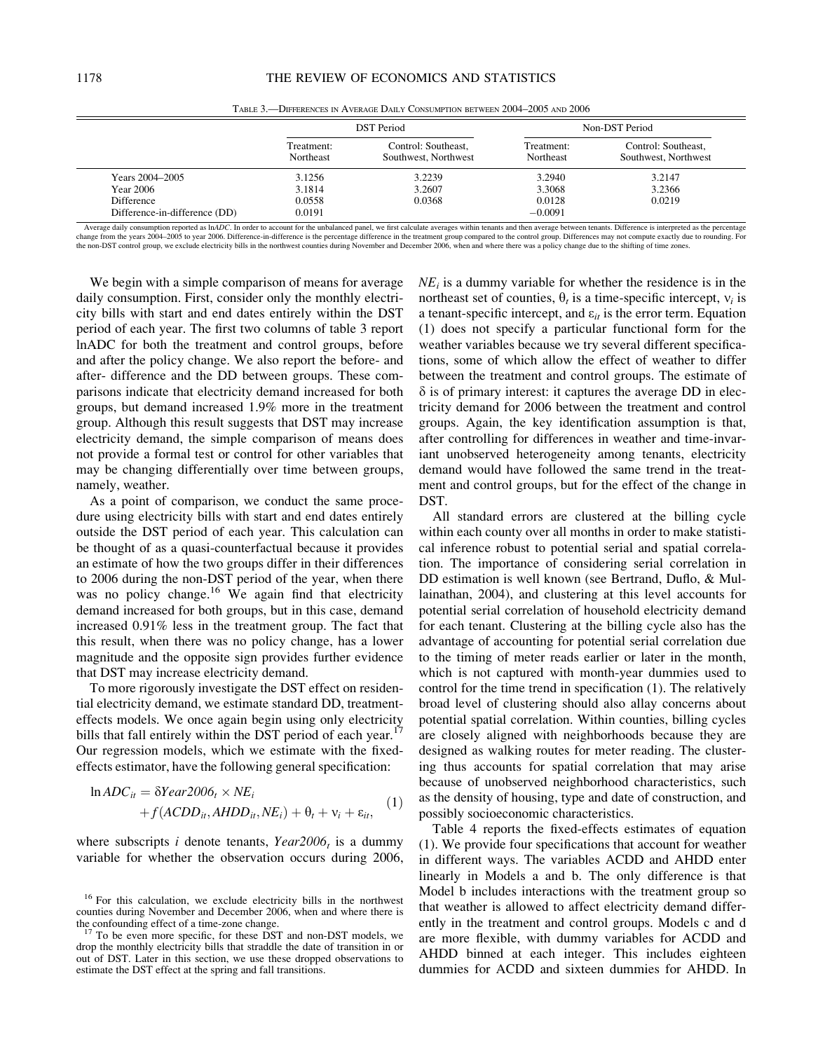|                               | <b>DST</b> Period       |                                             | Non-DST Period          |                                             |  |
|-------------------------------|-------------------------|---------------------------------------------|-------------------------|---------------------------------------------|--|
|                               | Treatment:<br>Northeast | Control: Southeast,<br>Southwest, Northwest | Treatment:<br>Northeast | Control: Southeast,<br>Southwest, Northwest |  |
| Years 2004–2005               | 3.1256                  | 3.2239                                      | 3.2940                  | 3.2147                                      |  |
| <b>Year 2006</b>              | 3.1814                  | 3.2607                                      | 3.3068                  | 3.2366                                      |  |
| Difference                    | 0.0558                  | 0.0368                                      | 0.0128                  | 0.0219                                      |  |
| Difference-in-difference (DD) | 0.0191                  |                                             | $-0.0091$               |                                             |  |

TABLE 3.—DIFFERENCES IN AVERAGE DAILY CONSUMPTION BETWEEN 2004–2005 AND 2006

Average daily consumption reported as InADC. In order to account for the unbalanced panel, we first calculate averages within tenants and then average between tenants. Difference is interpreted as the percentage change from the years 2004–2005 to year 2006. Difference-in-difference is the percentage difference in the treatment group compared to the control group. Differences may not compute exactly due to rounding. For<br>the non-DST

We begin with a simple comparison of means for average daily consumption. First, consider only the monthly electricity bills with start and end dates entirely within the DST period of each year. The first two columns of table 3 report lnADC for both the treatment and control groups, before and after the policy change. We also report the before- and after- difference and the DD between groups. These comparisons indicate that electricity demand increased for both groups, but demand increased 1.9% more in the treatment group. Although this result suggests that DST may increase electricity demand, the simple comparison of means does not provide a formal test or control for other variables that may be changing differentially over time between groups, namely, weather.

As a point of comparison, we conduct the same procedure using electricity bills with start and end dates entirely outside the DST period of each year. This calculation can be thought of as a quasi-counterfactual because it provides an estimate of how the two groups differ in their differences to 2006 during the non-DST period of the year, when there was no policy change.<sup>16</sup> We again find that electricity demand increased for both groups, but in this case, demand increased 0.91% less in the treatment group. The fact that this result, when there was no policy change, has a lower magnitude and the opposite sign provides further evidence that DST may increase electricity demand.

To more rigorously investigate the DST effect on residential electricity demand, we estimate standard DD, treatmenteffects models. We once again begin using only electricity bills that fall entirely within the DST period of each year.<sup>17</sup> Our regression models, which we estimate with the fixedeffects estimator, have the following general specification:

$$
\ln ADC_{it} = \delta Year2006_t \times NE_i
$$
  
+  $f(ACDD_{it}, AHDD_{it}, NE_i) + \theta_t + v_i + \varepsilon_{it}$ , (1)

where subscripts *i* denote tenants,  $Year2006_t$  is a dummy variable for whether the observation occurs during 2006,  $NE<sub>i</sub>$  is a dummy variable for whether the residence is in the northeast set of counties,  $\theta_t$  is a time-specific intercept,  $v_i$  is a tenant-specific intercept, and  $\varepsilon_{it}$  is the error term. Equation (1) does not specify a particular functional form for the weather variables because we try several different specifications, some of which allow the effect of weather to differ between the treatment and control groups. The estimate of  $\delta$  is of primary interest: it captures the average DD in electricity demand for 2006 between the treatment and control groups. Again, the key identification assumption is that, after controlling for differences in weather and time-invariant unobserved heterogeneity among tenants, electricity demand would have followed the same trend in the treatment and control groups, but for the effect of the change in DST.

All standard errors are clustered at the billing cycle within each county over all months in order to make statistical inference robust to potential serial and spatial correlation. The importance of considering serial correlation in DD estimation is well known (see Bertrand, Duflo, & Mullainathan, 2004), and clustering at this level accounts for potential serial correlation of household electricity demand for each tenant. Clustering at the billing cycle also has the advantage of accounting for potential serial correlation due to the timing of meter reads earlier or later in the month, which is not captured with month-year dummies used to control for the time trend in specification (1). The relatively broad level of clustering should also allay concerns about potential spatial correlation. Within counties, billing cycles are closely aligned with neighborhoods because they are designed as walking routes for meter reading. The clustering thus accounts for spatial correlation that may arise because of unobserved neighborhood characteristics, such as the density of housing, type and date of construction, and possibly socioeconomic characteristics.

Table 4 reports the fixed-effects estimates of equation (1). We provide four specifications that account for weather in different ways. The variables ACDD and AHDD enter linearly in Models a and b. The only difference is that Model b includes interactions with the treatment group so that weather is allowed to affect electricity demand differently in the treatment and control groups. Models c and d are more flexible, with dummy variables for ACDD and AHDD binned at each integer. This includes eighteen dummies for ACDD and sixteen dummies for AHDD. In

<sup>&</sup>lt;sup>16</sup> For this calculation, we exclude electricity bills in the northwest counties during November and December 2006, when and where there is the confounding effect of a time-zone change.  $17$  To be even more specific, for these DST and non-DST models, we

drop the monthly electricity bills that straddle the date of transition in or out of DST. Later in this section, we use these dropped observations to estimate the DST effect at the spring and fall transitions.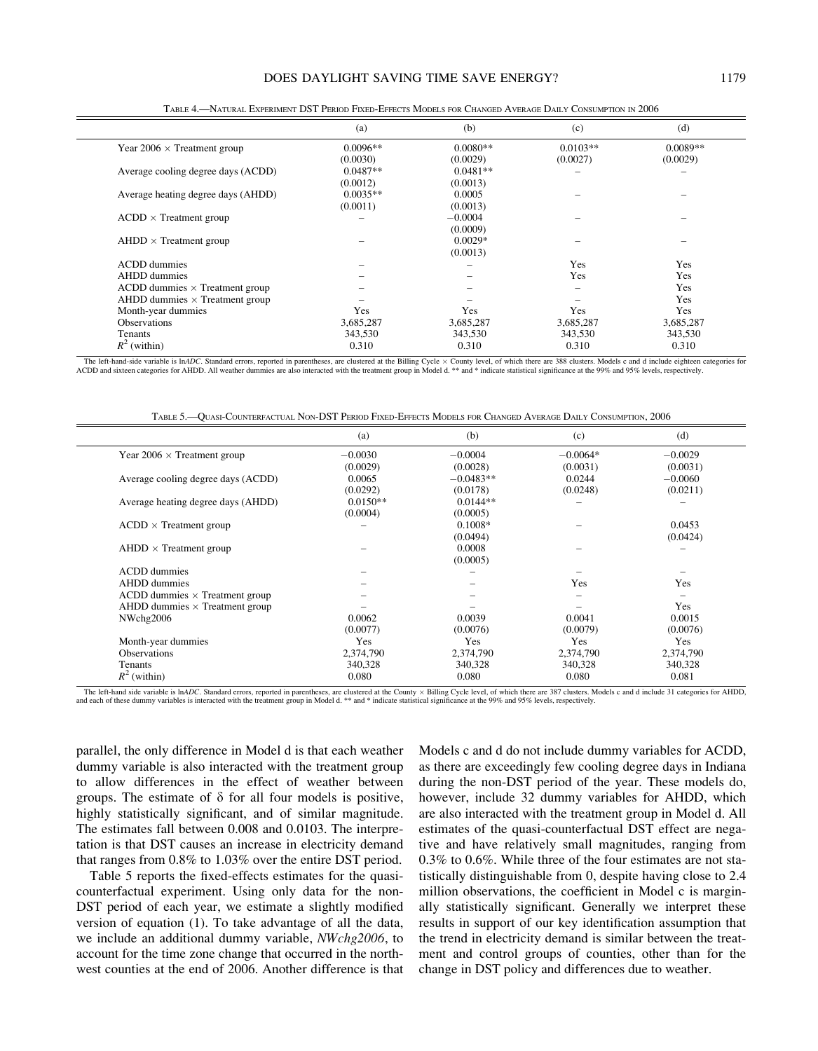# DOES DAYLIGHT SAVING TIME SAVE ENERGY? 1179

|                                         | (a)        | (b)        | (c)        | (d)        |
|-----------------------------------------|------------|------------|------------|------------|
| Year $2006 \times$ Treatment group      | $0.0096**$ | $0.0080**$ | $0.0103**$ | $0.0089**$ |
|                                         | (0.0030)   | (0.0029)   | (0.0027)   | (0.0029)   |
| Average cooling degree days (ACDD)      | $0.0487**$ | $0.0481**$ |            |            |
|                                         | (0.0012)   | (0.0013)   |            |            |
| Average heating degree days (AHDD)      | $0.0035**$ | 0.0005     |            |            |
|                                         | (0.0011)   | (0.0013)   |            |            |
| $ACDD \times T$ reatment group          |            | $-0.0004$  |            |            |
|                                         |            | (0.0009)   |            |            |
| $AHDD \times Treatment$ group           |            | $0.0029*$  |            |            |
|                                         |            | (0.0013)   |            |            |
| ACDD dummies                            |            |            | Yes        | Yes        |
| <b>AHDD</b> dummies                     |            |            | Yes        | Yes        |
| $ACDD$ dummies $\times$ Treatment group | -          |            |            | <b>Yes</b> |
| $AHDD$ dummies $\times$ Treatment group |            |            |            | Yes        |
| Month-year dummies                      | Yes        | Yes        | Yes        | Yes        |
| <b>Observations</b>                     | 3,685,287  | 3,685,287  | 3,685,287  | 3,685,287  |
| Tenants                                 | 343,530    | 343,530    | 343,530    | 343,530    |
| $R^2$ (within)                          | 0.310      | 0.310      | 0.310      | 0.310      |
|                                         |            |            |            |            |

TABLE 4.—NATURAL EXPERIMENT DST PERIOD FIXED-EFFECTS MODELS FOR CHANGED AVERAGE DAILY CONSUMPTION IN 2006

The left-hand-side variable is lnADC. Standard errors, reported in parentheses, are clustered at the Billing Cycle  $\times$  County level, of which there are 388 clusters. Models c and d include eighteen categories for ACDD and sixteen categories for AHDD. All weather dummies are also interacted with the treatment group in Model d. \*\* and \* indicate statistical significance at the 99% and 95% levels, respectively.

TABLE 5.—QUASI-COUNTERFACTUAL NON-DST PERIOD FIXED-EFFECTS MODELS FOR CHANGED AVERAGE DAILY CONSUMPTION, 2006

|                                         | (a)        | (b)         | (c)        | (d)       |  |
|-----------------------------------------|------------|-------------|------------|-----------|--|
| Year $2006 \times$ Treatment group      | $-0.0030$  | $-0.0004$   | $-0.0064*$ | $-0.0029$ |  |
|                                         | (0.0029)   | (0.0028)    | (0.0031)   | (0.0031)  |  |
| Average cooling degree days (ACDD)      | 0.0065     | $-0.0483**$ | 0.0244     | $-0.0060$ |  |
|                                         | (0.0292)   | (0.0178)    | (0.0248)   | (0.0211)  |  |
| Average heating degree days (AHDD)      | $0.0150**$ | $0.0144**$  |            |           |  |
|                                         | (0.0004)   | (0.0005)    |            |           |  |
| $ACDD \times T$ reatment group          |            | $0.1008*$   |            | 0.0453    |  |
|                                         |            | (0.0494)    |            | (0.0424)  |  |
| $AHDD \times Treatment$ group           |            | 0.0008      |            |           |  |
|                                         |            | (0.0005)    |            |           |  |
| ACDD dummies                            |            |             |            |           |  |
| AHDD dummies                            |            |             | Yes        | Yes       |  |
| $ACDD$ dummies $\times$ Treatment group |            |             |            |           |  |
| $AHDD$ dummies $\times$ Treatment group |            |             |            | Yes       |  |
| NWchg2006                               | 0.0062     | 0.0039      | 0.0041     | 0.0015    |  |
|                                         | (0.0077)   | (0.0076)    | (0.0079)   | (0.0076)  |  |
| Month-year dummies                      | Yes        | Yes         | Yes        | Yes       |  |
| <b>Observations</b>                     | 2,374,790  | 2,374,790   | 2,374,790  | 2,374,790 |  |
| Tenants                                 | 340,328    | 340,328     | 340,328    | 340,328   |  |
| $R^2$ (within)                          | 0.080      | 0.080       | 0.080      | 0.081     |  |

The left-hand side variable is lnADC. Standard errors, reported in parentheses, are clustered at the County × Billing Cycle level, of which there are 387 clusters. Models c and d include 31 categories for AHDD, and each of these dummy variables is interacted with the treatment group in Model d. \*\* and \* indicate statistical significance at the 99% and 95% levels, respectively.

parallel, the only difference in Model d is that each weather dummy variable is also interacted with the treatment group to allow differences in the effect of weather between groups. The estimate of  $\delta$  for all four models is positive, highly statistically significant, and of similar magnitude. The estimates fall between 0.008 and 0.0103. The interpretation is that DST causes an increase in electricity demand that ranges from 0.8% to 1.03% over the entire DST period.

 $=$ 

e e

Table 5 reports the fixed-effects estimates for the quasicounterfactual experiment. Using only data for the non-DST period of each year, we estimate a slightly modified version of equation (1). To take advantage of all the data, we include an additional dummy variable, NWchg2006, to account for the time zone change that occurred in the northwest counties at the end of 2006. Another difference is that

Models c and d do not include dummy variables for ACDD, as there are exceedingly few cooling degree days in Indiana during the non-DST period of the year. These models do, however, include 32 dummy variables for AHDD, which are also interacted with the treatment group in Model d. All estimates of the quasi-counterfactual DST effect are negative and have relatively small magnitudes, ranging from 0.3% to 0.6%. While three of the four estimates are not statistically distinguishable from 0, despite having close to 2.4 million observations, the coefficient in Model c is marginally statistically significant. Generally we interpret these results in support of our key identification assumption that the trend in electricity demand is similar between the treatment and control groups of counties, other than for the change in DST policy and differences due to weather.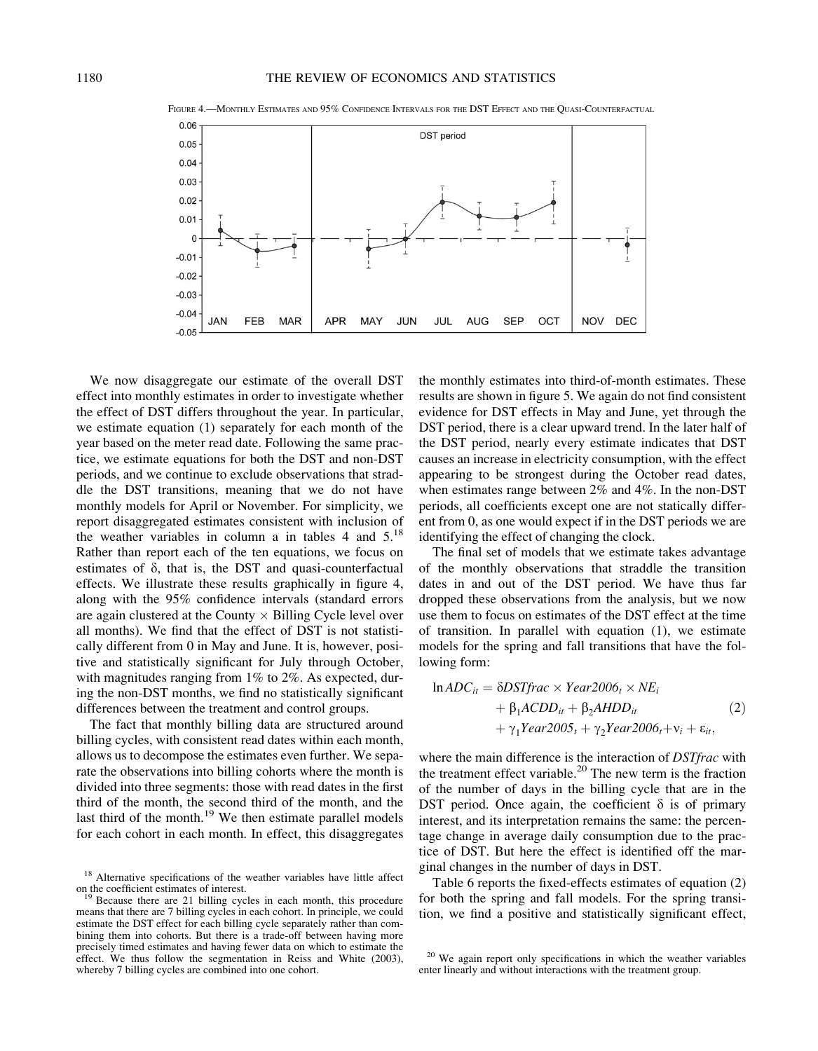

FIGURE 4.—MONTHLY ESTIMATES AND 95% CONFIDENCE INTERVALS FOR THE DST EFFECT AND THE QUASI-COUNTERFACTUAL

We now disaggregate our estimate of the overall DST effect into monthly estimates in order to investigate whether the effect of DST differs throughout the year. In particular, we estimate equation (1) separately for each month of the year based on the meter read date. Following the same practice, we estimate equations for both the DST and non-DST periods, and we continue to exclude observations that straddle the DST transitions, meaning that we do not have monthly models for April or November. For simplicity, we report disaggregated estimates consistent with inclusion of the weather variables in column a in tables 4 and  $5.^{18}$ Rather than report each of the ten equations, we focus on estimates of  $\delta$ , that is, the DST and quasi-counterfactual effects. We illustrate these results graphically in figure 4, along with the 95% confidence intervals (standard errors are again clustered at the County  $\times$  Billing Cycle level over all months). We find that the effect of DST is not statistically different from 0 in May and June. It is, however, positive and statistically significant for July through October, with magnitudes ranging from 1% to 2%. As expected, during the non-DST months, we find no statistically significant differences between the treatment and control groups.

The fact that monthly billing data are structured around billing cycles, with consistent read dates within each month, allows us to decompose the estimates even further. We separate the observations into billing cohorts where the month is divided into three segments: those with read dates in the first third of the month, the second third of the month, and the last third of the month.<sup>19</sup> We then estimate parallel models for each cohort in each month. In effect, this disaggregates

the monthly estimates into third-of-month estimates. These results are shown in figure 5. We again do not find consistent evidence for DST effects in May and June, yet through the DST period, there is a clear upward trend. In the later half of the DST period, nearly every estimate indicates that DST causes an increase in electricity consumption, with the effect appearing to be strongest during the October read dates, when estimates range between 2% and 4%. In the non-DST periods, all coefficients except one are not statically different from 0, as one would expect if in the DST periods we are identifying the effect of changing the clock.

The final set of models that we estimate takes advantage of the monthly observations that straddle the transition dates in and out of the DST period. We have thus far dropped these observations from the analysis, but we now use them to focus on estimates of the DST effect at the time of transition. In parallel with equation (1), we estimate models for the spring and fall transitions that have the following form:

$$
\ln ADC_{it} = \delta DST frac \times Year2006_t \times NE_i + \beta_1 A CDD_{it} + \beta_2 A HDD_{it} \qquad (2) + \gamma_1 Year2005_t + \gamma_2 Year2006_t + v_i + \varepsilon_{it},
$$

where the main difference is the interaction of DSTfrac with the treatment effect variable.<sup>20</sup> The new term is the fraction of the number of days in the billing cycle that are in the DST period. Once again, the coefficient  $\delta$  is of primary interest, and its interpretation remains the same: the percentage change in average daily consumption due to the practice of DST. But here the effect is identified off the marginal changes in the number of days in DST.

Table 6 reports the fixed-effects estimates of equation (2) for both the spring and fall models. For the spring transition, we find a positive and statistically significant effect,

<sup>&</sup>lt;sup>18</sup> Alternative specifications of the weather variables have little affect<br>on the coefficient estimates of interest.<br><sup>19</sup> Because there are 21 billing cycles in each month this procedure

Because there are 21 billing cycles in each month, this procedure means that there are 7 billing cycles in each cohort. In principle, we could estimate the DST effect for each billing cycle separately rather than combining them into cohorts. But there is a trade-off between having more precisely timed estimates and having fewer data on which to estimate the effect. We thus follow the segmentation in Reiss and White (2003), whereby 7 billing cycles are combined into one cohort.

<sup>&</sup>lt;sup>20</sup> We again report only specifications in which the weather variables enter linearly and without interactions with the treatment group.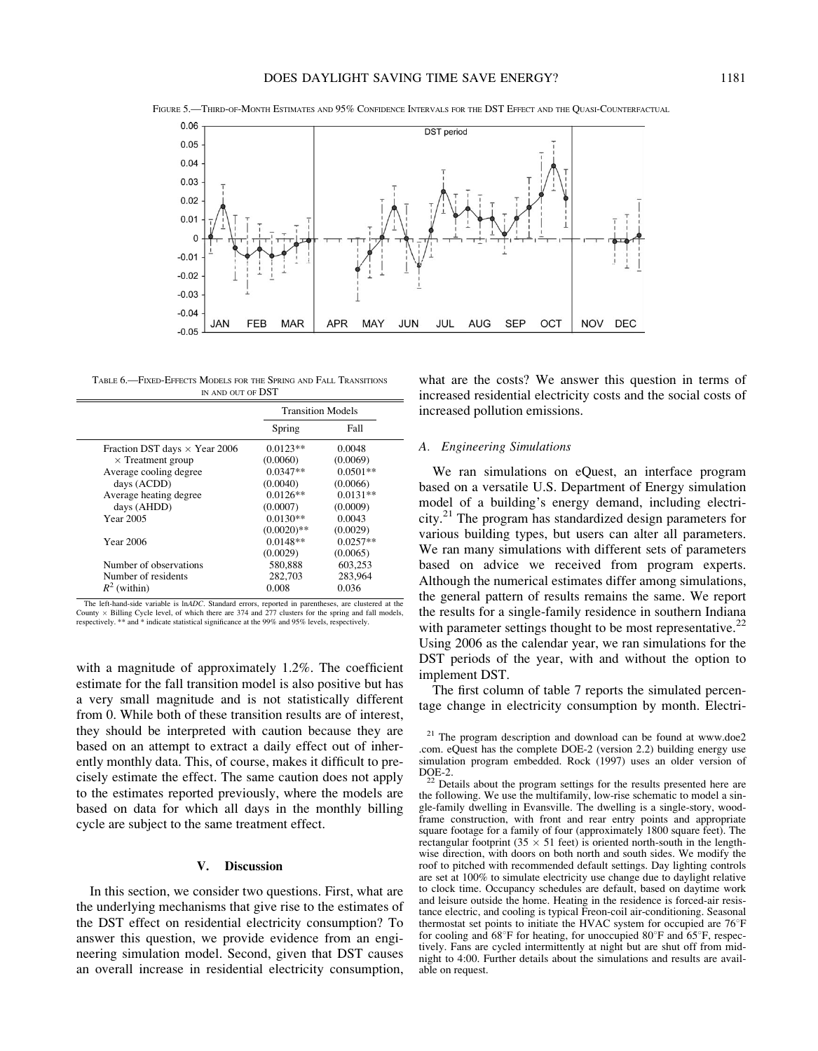



TABLE 6.—FIXED-EFFECTS MODELS FOR THE SPRING AND FALL TRANSITIONS IN AND OUT OF DST

|                                      | <b>Transition Models</b> |            |  |
|--------------------------------------|--------------------------|------------|--|
|                                      | Spring                   | Fall       |  |
| Fraction DST days $\times$ Year 2006 | $0.0123**$               | 0.0048     |  |
| $\times$ Treatment group             | (0.0060)                 | (0.0069)   |  |
| Average cooling degree               | $0.0347**$               | $0.0501**$ |  |
| days (ACDD)                          | (0.0040)                 | (0.0066)   |  |
| Average heating degree               | $0.0126**$               | $0.0131**$ |  |
| days (AHDD)                          | (0.0007)                 | (0.0009)   |  |
| <b>Year 2005</b>                     | $0.0130**$               | 0.0043     |  |
|                                      | $(0.0020)$ **            | (0.0029)   |  |
| <b>Year 2006</b>                     | $0.0148**$               | $0.0257**$ |  |
|                                      | (0.0029)                 | (0.0065)   |  |
| Number of observations               | 580,888                  | 603,253    |  |
| Number of residents                  | 282,703                  | 283,964    |  |
| $R^2$ (within)                       | 0.008                    | 0.036      |  |

The left-hand-side variable is lnADC. Standard errors, reported in parentheses, are clustered at the County  $\times$  Billing Cycle level, of which there are 374 and 277 clusters for the spring and fall models, respectively. \*\* and \* indicate statistical significance at the 99% and 95% levels, respectively.

with a magnitude of approximately 1.2%. The coefficient estimate for the fall transition model is also positive but has a very small magnitude and is not statistically different from 0. While both of these transition results are of interest, they should be interpreted with caution because they are based on an attempt to extract a daily effect out of inherently monthly data. This, of course, makes it difficult to precisely estimate the effect. The same caution does not apply to the estimates reported previously, where the models are based on data for which all days in the monthly billing cycle are subject to the same treatment effect.

#### V. Discussion

In this section, we consider two questions. First, what are the underlying mechanisms that give rise to the estimates of the DST effect on residential electricity consumption? To answer this question, we provide evidence from an engineering simulation model. Second, given that DST causes an overall increase in residential electricity consumption,

what are the costs? We answer this question in terms of increased residential electricity costs and the social costs of increased pollution emissions.

# A. Engineering Simulations

We ran simulations on eQuest, an interface program based on a versatile U.S. Department of Energy simulation model of a building's energy demand, including electricity.<sup>21</sup> The program has standardized design parameters for various building types, but users can alter all parameters. We ran many simulations with different sets of parameters based on advice we received from program experts. Although the numerical estimates differ among simulations, the general pattern of results remains the same. We report the results for a single-family residence in southern Indiana with parameter settings thought to be most representative. $^{22}$ Using 2006 as the calendar year, we ran simulations for the DST periods of the year, with and without the option to implement DST.

The first column of table 7 reports the simulated percentage change in electricity consumption by month. Electri-

<sup>&</sup>lt;sup>21</sup> The program description and download can be found at www.doe2 .com. eQuest has the complete DOE-2 (version 2.2) building energy use simulation program embedded. Rock (1997) uses an older version of<br>DOE-2.<br> $^{22}$  Dataila shout the green is striken for the strike in the strike

Details about the program settings for the results presented here are the following. We use the multifamily, low-rise schematic to model a single-family dwelling in Evansville. The dwelling is a single-story, woodframe construction, with front and rear entry points and appropriate square footage for a family of four (approximately 1800 square feet). The rectangular footprint  $(35 \times 51$  feet) is oriented north-south in the lengthwise direction, with doors on both north and south sides. We modify the roof to pitched with recommended default settings. Day lighting controls are set at 100% to simulate electricity use change due to daylight relative to clock time. Occupancy schedules are default, based on daytime work and leisure outside the home. Heating in the residence is forced-air resistance electric, and cooling is typical Freon-coil air-conditioning. Seasonal thermostat set points to initiate the HVAC system for occupied are  $76^{\circ}F$ for cooling and  $68^{\circ}$ F for heating, for unoccupied  $80^{\circ}$ F and  $65^{\circ}$ F, respectively. Fans are cycled intermittently at night but are shut off from midnight to 4:00. Further details about the simulations and results are available on request.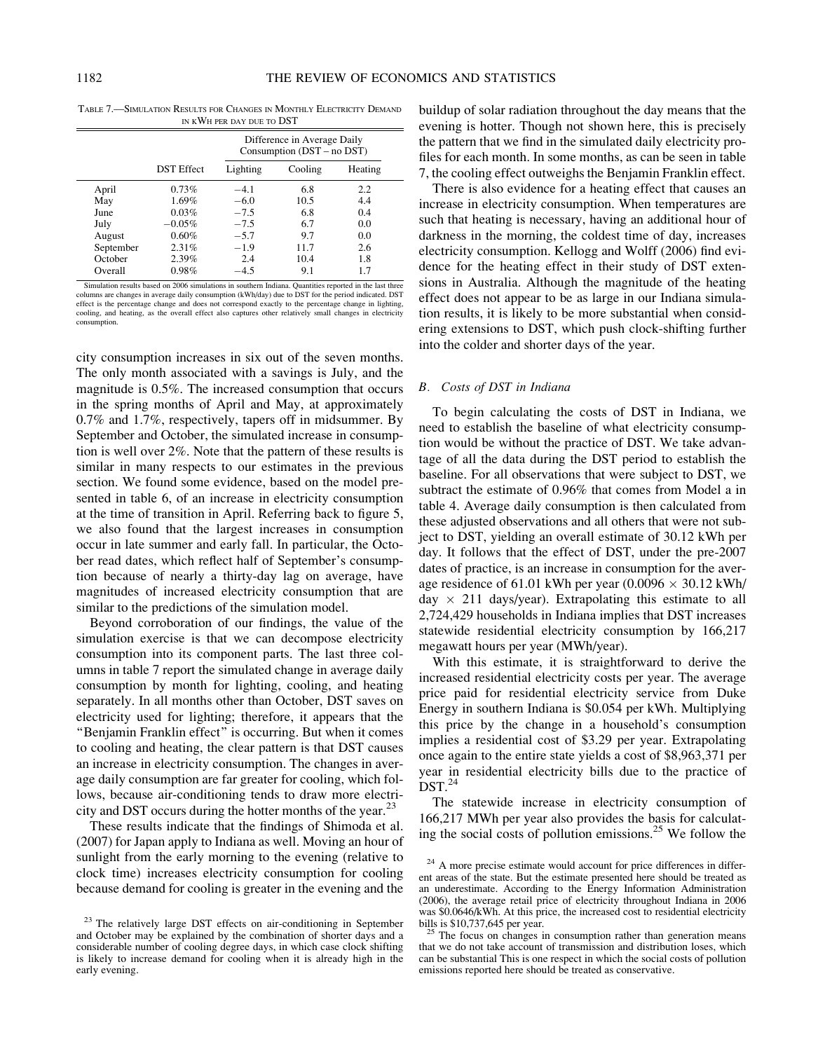TABLE 7.—SIMULATION RESULTS FOR CHANGES IN MONTHLY ELECTRICITY DEMAND IN KWH PER DAY DUE TO DST

|           | Difference in Average Daily<br>Consumption $(DST - no DST)$ |          |         |         |
|-----------|-------------------------------------------------------------|----------|---------|---------|
|           | <b>DST</b> Effect                                           | Lighting | Cooling | Heating |
| April     | 0.73%                                                       | $-4.1$   | 6.8     | 2.2     |
| May       | 1.69%                                                       | $-6.0$   | 10.5    | 4.4     |
| June      | 0.03%                                                       | $-7.5$   | 6.8     | 0.4     |
| July      | $-0.05\%$                                                   | $-7.5$   | 6.7     | 0.0     |
| August    | $0.60\%$                                                    | $-5.7$   | 9.7     | 0.0     |
| September | 2.31%                                                       | $-1.9$   | 11.7    | 2.6     |
| October   | 2.39%                                                       | 2.4      | 10.4    | 1.8     |
| Overall   | 0.98%                                                       | $-4.5$   | 9.1     | 1.7     |

Simulation results based on 2006 simulations in southern Indiana. Quantities reported in the last three columns are changes in average daily consumption (kWh/day) due to DST for the period indicated. DST effect is the percentage change and does not correspond exactly to the percentage change in lighting, cooling, and heating, as the overall effect also captures other relatively small changes in electricity consumption.

city consumption increases in six out of the seven months. The only month associated with a savings is July, and the magnitude is 0.5%. The increased consumption that occurs in the spring months of April and May, at approximately 0.7% and 1.7%, respectively, tapers off in midsummer. By September and October, the simulated increase in consumption is well over 2%. Note that the pattern of these results is similar in many respects to our estimates in the previous section. We found some evidence, based on the model presented in table 6, of an increase in electricity consumption at the time of transition in April. Referring back to figure 5, we also found that the largest increases in consumption occur in late summer and early fall. In particular, the October read dates, which reflect half of September's consumption because of nearly a thirty-day lag on average, have magnitudes of increased electricity consumption that are similar to the predictions of the simulation model.

Beyond corroboration of our findings, the value of the simulation exercise is that we can decompose electricity consumption into its component parts. The last three columns in table 7 report the simulated change in average daily consumption by month for lighting, cooling, and heating separately. In all months other than October, DST saves on electricity used for lighting; therefore, it appears that the ''Benjamin Franklin effect'' is occurring. But when it comes to cooling and heating, the clear pattern is that DST causes an increase in electricity consumption. The changes in average daily consumption are far greater for cooling, which follows, because air-conditioning tends to draw more electricity and DST occurs during the hotter months of the year.<sup>23</sup>

These results indicate that the findings of Shimoda et al. (2007) for Japan apply to Indiana as well. Moving an hour of sunlight from the early morning to the evening (relative to clock time) increases electricity consumption for cooling because demand for cooling is greater in the evening and the buildup of solar radiation throughout the day means that the evening is hotter. Though not shown here, this is precisely the pattern that we find in the simulated daily electricity profiles for each month. In some months, as can be seen in table 7, the cooling effect outweighs the Benjamin Franklin effect.

There is also evidence for a heating effect that causes an increase in electricity consumption. When temperatures are such that heating is necessary, having an additional hour of darkness in the morning, the coldest time of day, increases electricity consumption. Kellogg and Wolff (2006) find evidence for the heating effect in their study of DST extensions in Australia. Although the magnitude of the heating effect does not appear to be as large in our Indiana simulation results, it is likely to be more substantial when considering extensions to DST, which push clock-shifting further into the colder and shorter days of the year.

# B. Costs of DST in Indiana

To begin calculating the costs of DST in Indiana, we need to establish the baseline of what electricity consumption would be without the practice of DST. We take advantage of all the data during the DST period to establish the baseline. For all observations that were subject to DST, we subtract the estimate of 0.96% that comes from Model a in table 4. Average daily consumption is then calculated from these adjusted observations and all others that were not subject to DST, yielding an overall estimate of 30.12 kWh per day. It follows that the effect of DST, under the pre-2007 dates of practice, is an increase in consumption for the average residence of  $61.01$  kWh per year  $(0.0096 \times 30.12$  kWh/ day  $\times$  211 days/year). Extrapolating this estimate to all 2,724,429 households in Indiana implies that DST increases statewide residential electricity consumption by 166,217 megawatt hours per year (MWh/year).

With this estimate, it is straightforward to derive the increased residential electricity costs per year. The average price paid for residential electricity service from Duke Energy in southern Indiana is \$0.054 per kWh. Multiplying this price by the change in a household's consumption implies a residential cost of \$3.29 per year. Extrapolating once again to the entire state yields a cost of \$8,963,371 per year in residential electricity bills due to the practice of  $DST.<sup>24</sup>$ 

The statewide increase in electricity consumption of 166,217 MWh per year also provides the basis for calculating the social costs of pollution emissions.<sup>25</sup> We follow the

<sup>&</sup>lt;sup>23</sup> The relatively large DST effects on air-conditioning in September and October may be explained by the combination of shorter days and a considerable number of cooling degree days, in which case clock shifting is likely to increase demand for cooling when it is already high in the early evening.

 $24$  A more precise estimate would account for price differences in different areas of the state. But the estimate presented here should be treated as an underestimate. According to the Energy Information Administration (2006), the average retail price of electricity throughout Indiana in 2006 was \$0.0646/kWh. At this price, the increased cost to residential electricity bills is \$10,737,645 per year.

 $^{25}$  The focus on changes in consumption rather than generation means that we do not take account of transmission and distribution loses, which can be substantial This is one respect in which the social costs of pollution emissions reported here should be treated as conservative.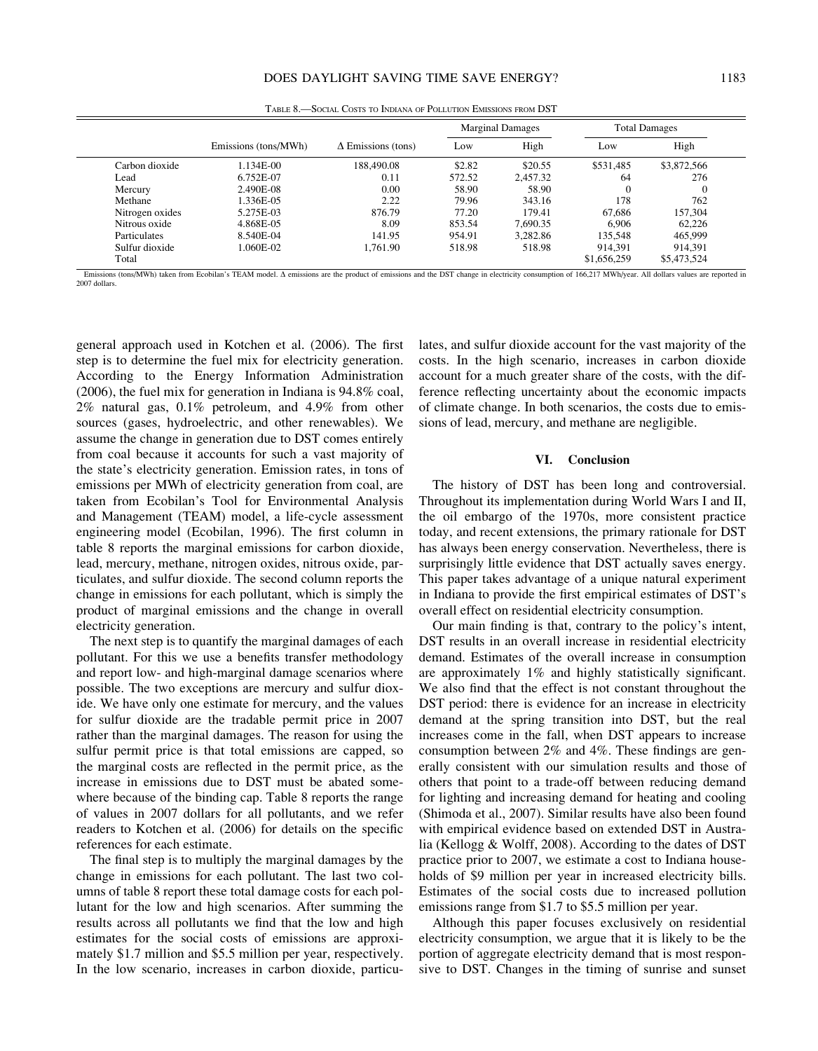|                 | Emissions (tons/MWh) |                           |        | <b>Marginal Damages</b> |             | <b>Total Damages</b> |  |
|-----------------|----------------------|---------------------------|--------|-------------------------|-------------|----------------------|--|
|                 |                      | $\Delta$ Emissions (tons) | Low    | High                    | Low         | High                 |  |
| Carbon dioxide  | 1.134E-00            | 188,490.08                | \$2.82 | \$20.55                 | \$531.485   | \$3,872,566          |  |
| Lead            | 6.752E-07            | 0.11                      | 572.52 | 2,457.32                | 64          | 276                  |  |
| Mercury         | 2.490E-08            | 0.00                      | 58.90  | 58.90                   | $\theta$    | 0                    |  |
| Methane         | 1.336E-05            | 2.22                      | 79.96  | 343.16                  | 178         | 762                  |  |
| Nitrogen oxides | 5.275E-03            | 876.79                    | 77.20  | 179.41                  | 67.686      | 157,304              |  |
| Nitrous oxide   | 4.868E-05            | 8.09                      | 853.54 | 7.690.35                | 6.906       | 62,226               |  |
| Particulates    | 8.540E-04            | 141.95                    | 954.91 | 3.282.86                | 135.548     | 465,999              |  |
| Sulfur dioxide  | 1.060E-02            | 1.761.90                  | 518.98 | 518.98                  | 914.391     | 914.391              |  |
| Total           |                      |                           |        |                         | \$1,656,259 | \$5,473,524          |  |

TABLE 8.—SOCIAL COSTS TO INDIANA OF POLLUTION EMISSIONS FROM DST

Emissions (tons/MWh) taken from Ecobilan's TEAM model. A emissions are the product of emissions and the DST change in electricity consumption of 166,217 MWh/year. All dollars values are reported in 2007 dollars.

general approach used in Kotchen et al. (2006). The first step is to determine the fuel mix for electricity generation. According to the Energy Information Administration (2006), the fuel mix for generation in Indiana is 94.8% coal, 2% natural gas, 0.1% petroleum, and 4.9% from other sources (gases, hydroelectric, and other renewables). We assume the change in generation due to DST comes entirely from coal because it accounts for such a vast majority of the state's electricity generation. Emission rates, in tons of emissions per MWh of electricity generation from coal, are taken from Ecobilan's Tool for Environmental Analysis and Management (TEAM) model, a life-cycle assessment engineering model (Ecobilan, 1996). The first column in table 8 reports the marginal emissions for carbon dioxide, lead, mercury, methane, nitrogen oxides, nitrous oxide, particulates, and sulfur dioxide. The second column reports the change in emissions for each pollutant, which is simply the product of marginal emissions and the change in overall electricity generation.

The next step is to quantify the marginal damages of each pollutant. For this we use a benefits transfer methodology and report low- and high-marginal damage scenarios where possible. The two exceptions are mercury and sulfur dioxide. We have only one estimate for mercury, and the values for sulfur dioxide are the tradable permit price in 2007 rather than the marginal damages. The reason for using the sulfur permit price is that total emissions are capped, so the marginal costs are reflected in the permit price, as the increase in emissions due to DST must be abated somewhere because of the binding cap. Table 8 reports the range of values in 2007 dollars for all pollutants, and we refer readers to Kotchen et al. (2006) for details on the specific references for each estimate.

The final step is to multiply the marginal damages by the change in emissions for each pollutant. The last two columns of table 8 report these total damage costs for each pollutant for the low and high scenarios. After summing the results across all pollutants we find that the low and high estimates for the social costs of emissions are approximately \$1.7 million and \$5.5 million per year, respectively. In the low scenario, increases in carbon dioxide, particulates, and sulfur dioxide account for the vast majority of the costs. In the high scenario, increases in carbon dioxide account for a much greater share of the costs, with the difference reflecting uncertainty about the economic impacts of climate change. In both scenarios, the costs due to emissions of lead, mercury, and methane are negligible.

#### VI. Conclusion

The history of DST has been long and controversial. Throughout its implementation during World Wars I and II, the oil embargo of the 1970s, more consistent practice today, and recent extensions, the primary rationale for DST has always been energy conservation. Nevertheless, there is surprisingly little evidence that DST actually saves energy. This paper takes advantage of a unique natural experiment in Indiana to provide the first empirical estimates of DST's overall effect on residential electricity consumption.

Our main finding is that, contrary to the policy's intent, DST results in an overall increase in residential electricity demand. Estimates of the overall increase in consumption are approximately 1% and highly statistically significant. We also find that the effect is not constant throughout the DST period: there is evidence for an increase in electricity demand at the spring transition into DST, but the real increases come in the fall, when DST appears to increase consumption between 2% and 4%. These findings are generally consistent with our simulation results and those of others that point to a trade-off between reducing demand for lighting and increasing demand for heating and cooling (Shimoda et al., 2007). Similar results have also been found with empirical evidence based on extended DST in Australia (Kellogg & Wolff, 2008). According to the dates of DST practice prior to 2007, we estimate a cost to Indiana households of \$9 million per year in increased electricity bills. Estimates of the social costs due to increased pollution emissions range from \$1.7 to \$5.5 million per year.

Although this paper focuses exclusively on residential electricity consumption, we argue that it is likely to be the portion of aggregate electricity demand that is most responsive to DST. Changes in the timing of sunrise and sunset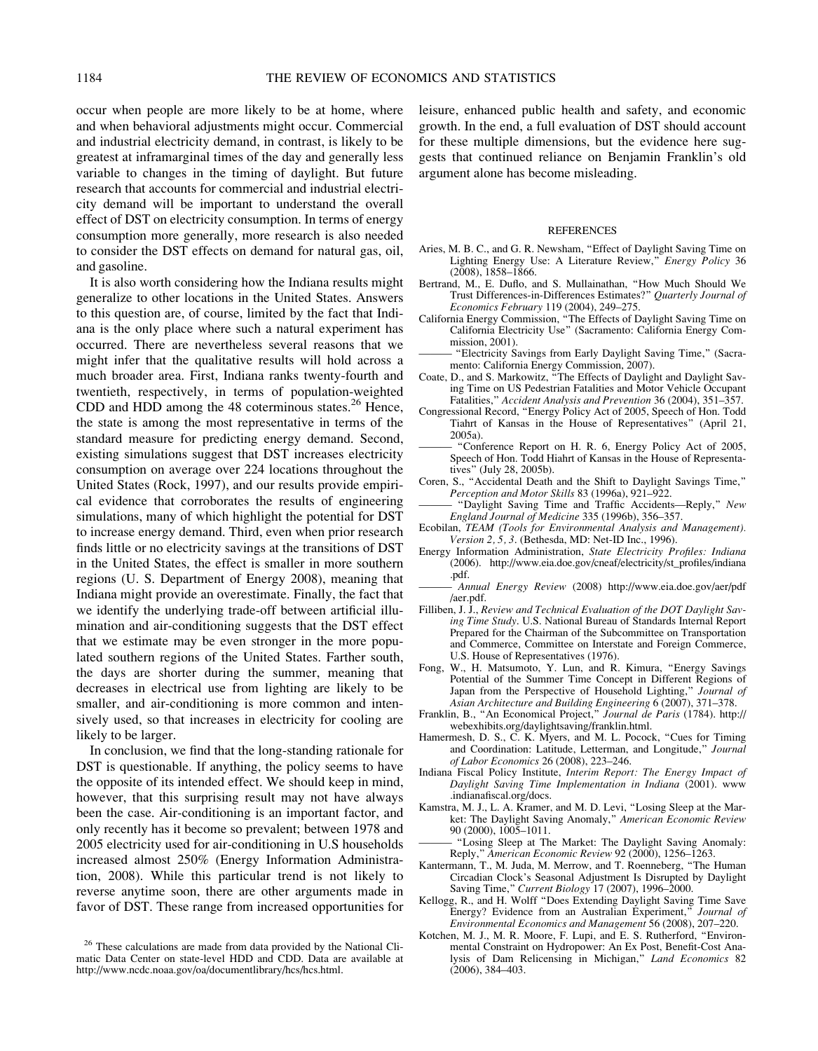occur when people are more likely to be at home, where and when behavioral adjustments might occur. Commercial and industrial electricity demand, in contrast, is likely to be greatest at inframarginal times of the day and generally less variable to changes in the timing of daylight. But future research that accounts for commercial and industrial electricity demand will be important to understand the overall effect of DST on electricity consumption. In terms of energy consumption more generally, more research is also needed to consider the DST effects on demand for natural gas, oil, and gasoline.

It is also worth considering how the Indiana results might generalize to other locations in the United States. Answers to this question are, of course, limited by the fact that Indiana is the only place where such a natural experiment has occurred. There are nevertheless several reasons that we might infer that the qualitative results will hold across a much broader area. First, Indiana ranks twenty-fourth and twentieth, respectively, in terms of population-weighted CDD and HDD among the  $48$  coterminous states.<sup>26</sup> Hence, the state is among the most representative in terms of the standard measure for predicting energy demand. Second, existing simulations suggest that DST increases electricity consumption on average over 224 locations throughout the United States (Rock, 1997), and our results provide empirical evidence that corroborates the results of engineering simulations, many of which highlight the potential for DST to increase energy demand. Third, even when prior research finds little or no electricity savings at the transitions of DST in the United States, the effect is smaller in more southern regions (U. S. Department of Energy 2008), meaning that Indiana might provide an overestimate. Finally, the fact that we identify the underlying trade-off between artificial illumination and air-conditioning suggests that the DST effect that we estimate may be even stronger in the more populated southern regions of the United States. Farther south, the days are shorter during the summer, meaning that decreases in electrical use from lighting are likely to be smaller, and air-conditioning is more common and intensively used, so that increases in electricity for cooling are likely to be larger.

In conclusion, we find that the long-standing rationale for DST is questionable. If anything, the policy seems to have the opposite of its intended effect. We should keep in mind, however, that this surprising result may not have always been the case. Air-conditioning is an important factor, and only recently has it become so prevalent; between 1978 and 2005 electricity used for air-conditioning in U.S households increased almost 250% (Energy Information Administration, 2008). While this particular trend is not likely to reverse anytime soon, there are other arguments made in favor of DST. These range from increased opportunities for leisure, enhanced public health and safety, and economic growth. In the end, a full evaluation of DST should account for these multiple dimensions, but the evidence here suggests that continued reliance on Benjamin Franklin's old argument alone has become misleading.

#### REFERENCES

- Aries, M. B. C., and G. R. Newsham, "Effect of Daylight Saving Time on Lighting Energy Use: A Literature Review,'' Energy Policy 36 (2008), 1858–1866.
- Bertrand, M., E. Duflo, and S. Mullainathan, ''How Much Should We Trust Differences-in-Differences Estimates?" Quarterly Journal of Economics February 119 (2004), 249–275.
- California Energy Commission, ''The Effects of Daylight Saving Time on California Electricity Use'' (Sacramento: California Energy Commission, 2001).
- "Electricity Savings from Early Daylight Saving Time," (Sacramento: California Energy Commission, 2007).
- Coate, D., and S. Markowitz, ''The Effects of Daylight and Daylight Saving Time on US Pedestrian Fatalities and Motor Vehicle Occupant Fatalities,'' Accident Analysis and Prevention 36 (2004), 351–357.
- Congressional Record, ''Energy Policy Act of 2005, Speech of Hon. Todd Tiahrt of Kansas in the House of Representatives'' (April 21, 2005a).
- "Conference Report on H. R. 6, Energy Policy Act of 2005, Speech of Hon. Todd Hiahrt of Kansas in the House of Representatives'' (July 28, 2005b).
- Coren, S., ''Accidental Death and the Shift to Daylight Savings Time,'' Perception and Motor Skills 83 (1996a), 921–922.
- ——— ''Daylight Saving Time and Traffic Accidents—Reply,'' New England Journal of Medicine 335 (1996b), 356–357.
- Ecobilan, TEAM (Tools for Environmental Analysis and Management). Version 2, 5, 3. (Bethesda, MD: Net-ID Inc., 1996).
- Energy Information Administration, State Electricity Profiles: Indiana (2006). http://www.eia.doe.gov/cneaf/electricity/st\_profiles/indiana .pdf.
- Annual Energy Review (2008) http://www.eia.doe.gov/aer/pdf /aer.pdf.
- Filliben, J. J., Review and Technical Evaluation of the DOT Daylight Saving Time Study. U.S. National Bureau of Standards Internal Report Prepared for the Chairman of the Subcommittee on Transportation and Commerce, Committee on Interstate and Foreign Commerce, U.S. House of Representatives (1976).
- Fong, W., H. Matsumoto, Y. Lun, and R. Kimura, "Energy Savings Potential of the Summer Time Concept in Different Regions of Japan from the Perspective of Household Lighting," Journal of Asian Architecture and Building Engineering 6 (2007), 371–378.
- Franklin, B., ''An Economical Project,'' Journal de Paris (1784). http:// webexhibits.org/daylightsaving/franklin.html.
- Hamermesh, D. S., C. K. Myers, and M. L. Pocock, "Cues for Timing and Coordination: Latitude, Letterman, and Longitude," Journal of Labor Economics 26 (2008), 223–246.
- Indiana Fiscal Policy Institute, Interim Report: The Energy Impact of Daylight Saving Time Implementation in Indiana (2001). www .indianafiscal.org/docs.
- Kamstra, M. J., L. A. Kramer, and M. D. Levi, ''Losing Sleep at the Market: The Daylight Saving Anomaly,'' American Economic Review 90 (2000), 1005–1011.
- "Losing Sleep at The Market: The Daylight Saving Anomaly: Reply,'' American Economic Review 92 (2000), 1256–1263.
- Kantermann, T., M. Juda, M. Merrow, and T. Roenneberg, ''The Human Circadian Clock's Seasonal Adjustment Is Disrupted by Daylight Saving Time,'' Current Biology 17 (2007), 1996–2000.
- Kellogg, R., and H. Wolff ''Does Extending Daylight Saving Time Save Energy? Evidence from an Australian Experiment," Journal of Environmental Economics and Management 56 (2008), 207–220.
- Kotchen, M. J., M. R. Moore, F. Lupi, and E. S. Rutherford, "Environmental Constraint on Hydropower: An Ex Post, Benefit-Cost Analysis of Dam Relicensing in Michigan," Land Economics 82 (2006), 384–403.

<sup>&</sup>lt;sup>26</sup> These calculations are made from data provided by the National Climatic Data Center on state-level HDD and CDD. Data are available at http://www.ncdc.noaa.gov/oa/documentlibrary/hcs/hcs.html.